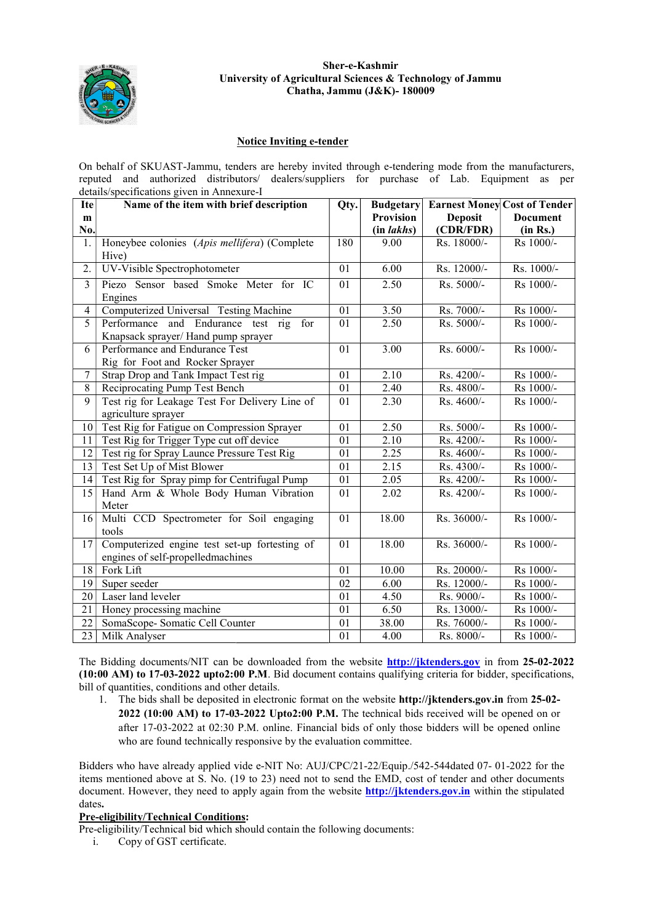

# University of Agricultural Sciences & Technology of Jammu<br>Chatha, Jammu (J&K)-180009 Sher-e-Kashmir

## Notice Inviting e-tender

| On behalf of SKUAST-Jammu, tenders are hereby invited through e-tendering mode from the manufacturers,                                                                                                                                                                                                                                                                                                                                                                                                                                                                                                                                                                    |                                                |      |                  |                |                                     |  |
|---------------------------------------------------------------------------------------------------------------------------------------------------------------------------------------------------------------------------------------------------------------------------------------------------------------------------------------------------------------------------------------------------------------------------------------------------------------------------------------------------------------------------------------------------------------------------------------------------------------------------------------------------------------------------|------------------------------------------------|------|------------------|----------------|-------------------------------------|--|
| authorized distributors/ dealers/suppliers for purchase of Lab. Equipment as per<br>reputed<br>and                                                                                                                                                                                                                                                                                                                                                                                                                                                                                                                                                                        |                                                |      |                  |                |                                     |  |
|                                                                                                                                                                                                                                                                                                                                                                                                                                                                                                                                                                                                                                                                           | details/specifications given in Annexure-I     |      |                  |                |                                     |  |
| <b>Ite</b>                                                                                                                                                                                                                                                                                                                                                                                                                                                                                                                                                                                                                                                                | Name of the item with brief description        | Qty. | <b>Budgetary</b> |                | <b>Earnest Money Cost of Tender</b> |  |
| m                                                                                                                                                                                                                                                                                                                                                                                                                                                                                                                                                                                                                                                                         |                                                |      | Provision        | <b>Deposit</b> | <b>Document</b>                     |  |
| No.                                                                                                                                                                                                                                                                                                                                                                                                                                                                                                                                                                                                                                                                       |                                                |      | (in lakhs)       | (CDR/FDR)      | (in Rs.)                            |  |
| 1.                                                                                                                                                                                                                                                                                                                                                                                                                                                                                                                                                                                                                                                                        | Honeybee colonies (Apis mellifera) (Complete   | 180  | 9.00             | Rs. 18000/-    | Rs 1000/-                           |  |
|                                                                                                                                                                                                                                                                                                                                                                                                                                                                                                                                                                                                                                                                           | Hive)                                          |      |                  |                |                                     |  |
| 2.                                                                                                                                                                                                                                                                                                                                                                                                                                                                                                                                                                                                                                                                        | UV-Visible Spectrophotometer                   | 01   | 6.00             | Rs. 12000/-    | Rs. 1000/-                          |  |
| $\overline{3}$                                                                                                                                                                                                                                                                                                                                                                                                                                                                                                                                                                                                                                                            | Piezo Sensor based Smoke Meter for IC          | 01   | 2.50             | Rs. 5000/-     | Rs 1000/-                           |  |
|                                                                                                                                                                                                                                                                                                                                                                                                                                                                                                                                                                                                                                                                           | Engines                                        |      |                  |                |                                     |  |
| $\overline{4}$                                                                                                                                                                                                                                                                                                                                                                                                                                                                                                                                                                                                                                                            | Computerized Universal Testing Machine         | 01   | 3.50             | Rs. 7000/-     | Rs 1000/-                           |  |
| 5                                                                                                                                                                                                                                                                                                                                                                                                                                                                                                                                                                                                                                                                         | Performance and Endurance test rig<br>for      | 01   | 2.50             | $R_s$ . 5000/- | Rs 1000/-                           |  |
|                                                                                                                                                                                                                                                                                                                                                                                                                                                                                                                                                                                                                                                                           | Knapsack sprayer/ Hand pump sprayer            |      |                  |                |                                     |  |
| 6                                                                                                                                                                                                                                                                                                                                                                                                                                                                                                                                                                                                                                                                         | Performance and Endurance Test                 | 01   | 3.00             | Rs. 6000/-     | Rs 1000/-                           |  |
|                                                                                                                                                                                                                                                                                                                                                                                                                                                                                                                                                                                                                                                                           | Rig for Foot and Rocker Sprayer                |      |                  |                |                                     |  |
| $\boldsymbol{7}$                                                                                                                                                                                                                                                                                                                                                                                                                                                                                                                                                                                                                                                          | Strap Drop and Tank Impact Test rig            | 01   | 2.10             | Rs. 4200/-     | Rs 1000/-                           |  |
| 8                                                                                                                                                                                                                                                                                                                                                                                                                                                                                                                                                                                                                                                                         | Reciprocating Pump Test Bench                  | 01   | 2.40             | Rs. 4800/-     | Rs 1000/-                           |  |
| 9                                                                                                                                                                                                                                                                                                                                                                                                                                                                                                                                                                                                                                                                         | Test rig for Leakage Test For Delivery Line of | 01   | 2.30             | Rs. 4600/-     | Rs 1000/-                           |  |
|                                                                                                                                                                                                                                                                                                                                                                                                                                                                                                                                                                                                                                                                           | agriculture sprayer                            |      |                  |                |                                     |  |
| 10                                                                                                                                                                                                                                                                                                                                                                                                                                                                                                                                                                                                                                                                        | Test Rig for Fatigue on Compression Sprayer    | 01   | 2.50             | Rs. 5000/-     | Rs 1000/-                           |  |
| 11                                                                                                                                                                                                                                                                                                                                                                                                                                                                                                                                                                                                                                                                        | Test Rig for Trigger Type cut off device       | 01   | 2.10             | Rs. 4200/-     | Rs 1000/-                           |  |
| 12                                                                                                                                                                                                                                                                                                                                                                                                                                                                                                                                                                                                                                                                        | Test rig for Spray Launce Pressure Test Rig    | 01   | 2.25             | Rs. 4600/-     | Rs 1000/-                           |  |
| 13                                                                                                                                                                                                                                                                                                                                                                                                                                                                                                                                                                                                                                                                        | Test Set Up of Mist Blower                     | 01   | 2.15             | Rs. 4300/-     | Rs 1000/-                           |  |
| 14                                                                                                                                                                                                                                                                                                                                                                                                                                                                                                                                                                                                                                                                        | Test Rig for Spray pimp for Centrifugal Pump   | 01   | 2.05             | Rs. 4200/-     | Rs 1000/-                           |  |
| 15                                                                                                                                                                                                                                                                                                                                                                                                                                                                                                                                                                                                                                                                        | Hand Arm & Whole Body Human Vibration          | 01   | 2.02             | Rs. 4200/-     | Rs 1000/-                           |  |
|                                                                                                                                                                                                                                                                                                                                                                                                                                                                                                                                                                                                                                                                           | Meter                                          |      |                  |                |                                     |  |
| 16                                                                                                                                                                                                                                                                                                                                                                                                                                                                                                                                                                                                                                                                        | Multi CCD Spectrometer for Soil engaging       | 01   | 18.00            | Rs. 36000/-    | Rs 1000/-                           |  |
|                                                                                                                                                                                                                                                                                                                                                                                                                                                                                                                                                                                                                                                                           | tools                                          |      |                  |                |                                     |  |
| 17                                                                                                                                                                                                                                                                                                                                                                                                                                                                                                                                                                                                                                                                        | Computerized engine test set-up fortesting of  | 01   | 18.00            | Rs. 36000/-    | Rs 1000/-                           |  |
|                                                                                                                                                                                                                                                                                                                                                                                                                                                                                                                                                                                                                                                                           | engines of self-propelledmachines              |      |                  |                |                                     |  |
| 18                                                                                                                                                                                                                                                                                                                                                                                                                                                                                                                                                                                                                                                                        | Fork Lift                                      | 01   | 10.00            | Rs. 20000/-    | Rs 1000/-                           |  |
| 19                                                                                                                                                                                                                                                                                                                                                                                                                                                                                                                                                                                                                                                                        | Super seeder                                   | 02   | 6.00             | Rs. 12000/-    | Rs 1000/-                           |  |
| 20                                                                                                                                                                                                                                                                                                                                                                                                                                                                                                                                                                                                                                                                        | Laser land leveler                             | 01   | 4.50             | Rs. 9000/-     | Rs 1000/-                           |  |
| 21                                                                                                                                                                                                                                                                                                                                                                                                                                                                                                                                                                                                                                                                        | Honey processing machine                       | 01   | 6.50             | Rs. 13000/-    | Rs 1000/-                           |  |
| 22                                                                                                                                                                                                                                                                                                                                                                                                                                                                                                                                                                                                                                                                        | SomaScope- Somatic Cell Counter                | 01   | 38.00            | Rs. 76000/-    | Rs 1000/-                           |  |
| 23                                                                                                                                                                                                                                                                                                                                                                                                                                                                                                                                                                                                                                                                        | Milk Analyser                                  | 01   | 4.00             | Rs. 8000/-     | Rs 1000/-                           |  |
| The Bidding documents/NIT can be downloaded from the website <b>http://jktenders.gov</b> in from 25-02-2022<br>(10:00 AM) to 17-03-2022 upto2:00 P.M. Bid document contains qualifying criteria for bidder, specifications,<br>bill of quantities, conditions and other details.<br>The bids shall be deposited in electronic format on the website http://jktenders.gov.in from 25-02-<br>1.<br>$2022$ (10:00 AM) to 17-03-2022 Upto2:00 P.M. The technical bids received will be opened on or<br>after 17-03-2022 at 02:30 P.M. online. Financial bids of only those bidders will be opened online<br>who are found technically responsive by the evaluation committee. |                                                |      |                  |                |                                     |  |
| Bidders who have already applied vide e-NIT No: AUJ/CPC/21-22/Equip./542-544dated 07-01-2022 for the<br>items mentioned above at S. No. (19 to 23) need not to send the EMD, cost of tender and other documents<br>document. However, they need to apply again from the website <b>http://jktenders.gov.in</b> within the stipulated<br>dates.<br><b>Pre-eligibility/Technical Conditions:</b><br>Pre-eligibility/Technical bid which should contain the following documents:                                                                                                                                                                                             |                                                |      |                  |                |                                     |  |

## Pre-eligibility/Technical Conditions:

Pre-eligibility/Technical bid which should contain the following documents:

i. Copy of GST certificate.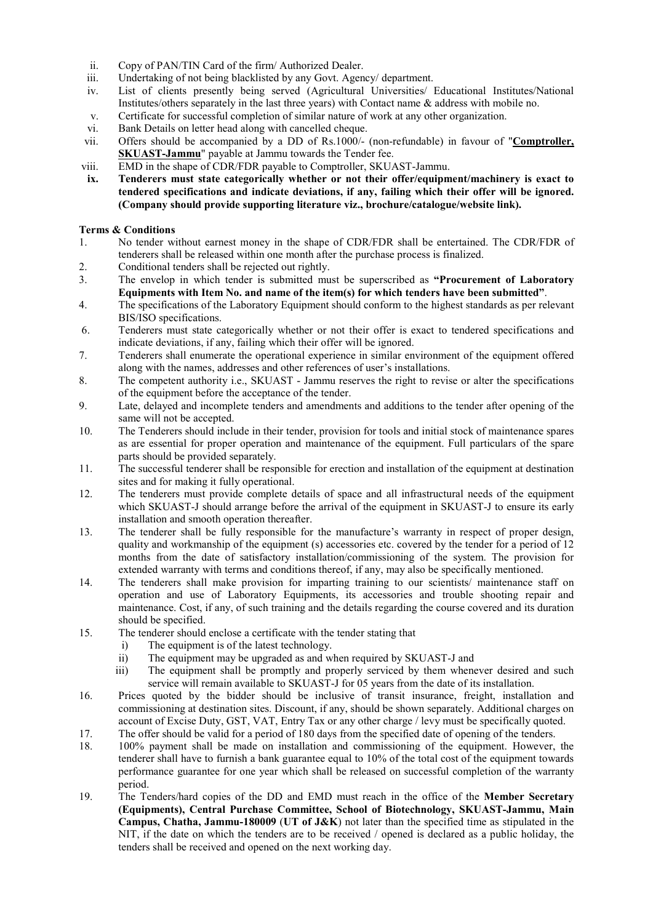- ii. Copy of PAN/TIN Card of the firm/ Authorized Dealer.
- iii. Undertaking of not being blacklisted by any Govt. Agency/ department.
- iv. List of clients presently being served (Agricultural Universities/ Educational Institutes/National Institutes/others separately in the last three years) with Contact name & address with mobile no.
- v. Certificate for successful completion of similar nature of work at any other organization.
- vi. Bank Details on letter head along with cancelled cheque.
- vii. Offers should be accompanied by a DD of Rs.1000/- (non-refundable) in favour of "Comptroller, SKUAST-Jammu" payable at Jammu towards the Tender fee.
- viii. EMD in the shape of CDR/FDR payable to Comptroller, SKUAST-Jammu.
- ix. Tenderers must state categorically whether or not their offer/equipment/machinery is exact to tendered specifications and indicate deviations, if any, failing which their offer will be ignored. (Company should provide supporting literature viz., brochure/catalogue/website link).

### Terms & Conditions

- 1. No tender without earnest money in the shape of CDR/FDR shall be entertained. The CDR/FDR of tenderers shall be released within one month after the purchase process is finalized.
- 2. Conditional tenders shall be rejected out rightly.
- 3. The envelop in which tender is submitted must be superscribed as "Procurement of Laboratory Equipments with Item No. and name of the item(s) for which tenders have been submitted".
- 4. The specifications of the Laboratory Equipment should conform to the highest standards as per relevant BIS/ISO specifications.
- 6. Tenderers must state categorically whether or not their offer is exact to tendered specifications and indicate deviations, if any, failing which their offer will be ignored.
- 7. Tenderers shall enumerate the operational experience in similar environment of the equipment offered along with the names, addresses and other references of user's installations.
- 8. The competent authority i.e., SKUAST Jammu reserves the right to revise or alter the specifications of the equipment before the acceptance of the tender.
- 9. Late, delayed and incomplete tenders and amendments and additions to the tender after opening of the same will not be accepted.
- 10. The Tenderers should include in their tender, provision for tools and initial stock of maintenance spares as are essential for proper operation and maintenance of the equipment. Full particulars of the spare parts should be provided separately.
- 11. The successful tenderer shall be responsible for erection and installation of the equipment at destination sites and for making it fully operational.
- 12. The tenderers must provide complete details of space and all infrastructural needs of the equipment which SKUAST-J should arrange before the arrival of the equipment in SKUAST-J to ensure its early installation and smooth operation thereafter.
- 13. The tenderer shall be fully responsible for the manufacture's warranty in respect of proper design, quality and workmanship of the equipment (s) accessories etc. covered by the tender for a period of 12 months from the date of satisfactory installation/commissioning of the system. The provision for extended warranty with terms and conditions thereof, if any, may also be specifically mentioned.
- 14. The tenderers shall make provision for imparting training to our scientists/ maintenance staff on operation and use of Laboratory Equipments, its accessories and trouble shooting repair and maintenance. Cost, if any, of such training and the details regarding the course covered and its duration should be specified.
- 15. The tenderer should enclose a certificate with the tender stating that
	- i) The equipment is of the latest technology.
	- ii) The equipment may be upgraded as and when required by SKUAST-J and
	- iii) The equipment shall be promptly and properly serviced by them whenever desired and such service will remain available to SKUAST-J for 05 years from the date of its installation.
- 16. Prices quoted by the bidder should be inclusive of transit insurance, freight, installation and commissioning at destination sites. Discount, if any, should be shown separately. Additional charges on account of Excise Duty, GST, VAT, Entry Tax or any other charge / levy must be specifically quoted.
- 17. The offer should be valid for a period of 180 days from the specified date of opening of the tenders.
- 18. 100% payment shall be made on installation and commissioning of the equipment. However, the tenderer shall have to furnish a bank guarantee equal to 10% of the total cost of the equipment towards performance guarantee for one year which shall be released on successful completion of the warranty period.
- 19. The Tenders/hard copies of the DD and EMD must reach in the office of the Member Secretary (Equipments), Central Purchase Committee, School of Biotechnology, SKUAST-Jammu, Main Campus, Chatha, Jammu-180009 (UT of J&K) not later than the specified time as stipulated in the NIT, if the date on which the tenders are to be received / opened is declared as a public holiday, the tenders shall be received and opened on the next working day.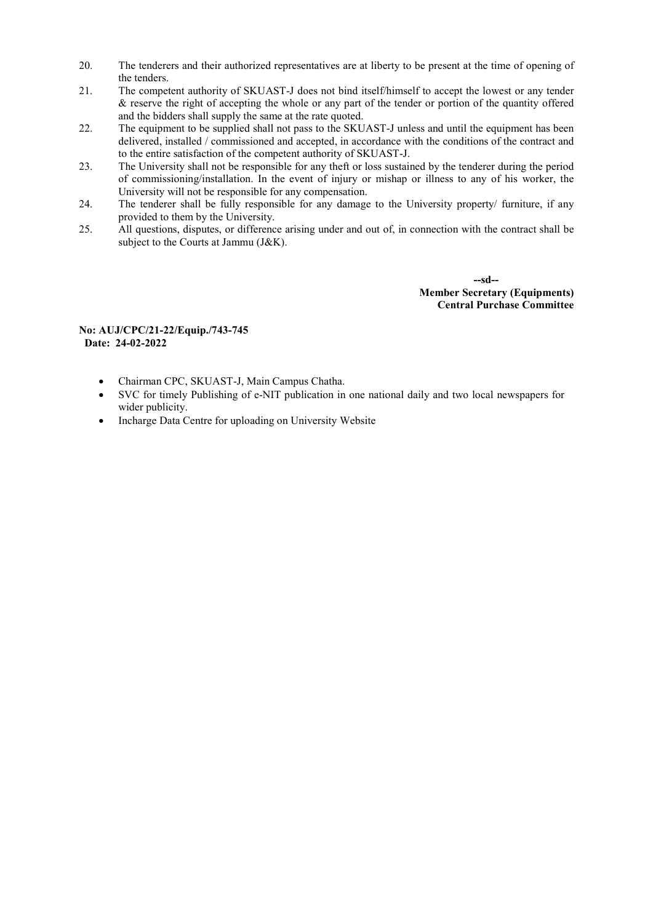- 20. The tenderers and their authorized representatives are at liberty to be present at the time of opening of the tenders.
- 21. The competent authority of SKUAST-J does not bind itself/himself to accept the lowest or any tender & reserve the right of accepting the whole or any part of the tender or portion of the quantity offered and the bidders shall supply the same at the rate quoted.
- 22. The equipment to be supplied shall not pass to the SKUAST-J unless and until the equipment has been delivered, installed / commissioned and accepted, in accordance with the conditions of the contract and to the entire satisfaction of the competent authority of SKUAST-J.
- 23. The University shall not be responsible for any theft or loss sustained by the tenderer during the period of commissioning/installation. In the event of injury or mishap or illness to any of his worker, the University will not be responsible for any compensation.
- 24. The tenderer shall be fully responsible for any damage to the University property/ furniture, if any provided to them by the University.
- 25. All questions, disputes, or difference arising under and out of, in connection with the contract shall be subject to the Courts at Jammu (J&K).

 --sd-- Member Secretary (Equipments) Central Purchase Committee

### No: AUJ/CPC/21-22/Equip./743-745 Date: 24-02-2022

- Chairman CPC, SKUAST-J, Main Campus Chatha.
- SVC for timely Publishing of e-NIT publication in one national daily and two local newspapers for wider publicity.
- Incharge Data Centre for uploading on University Website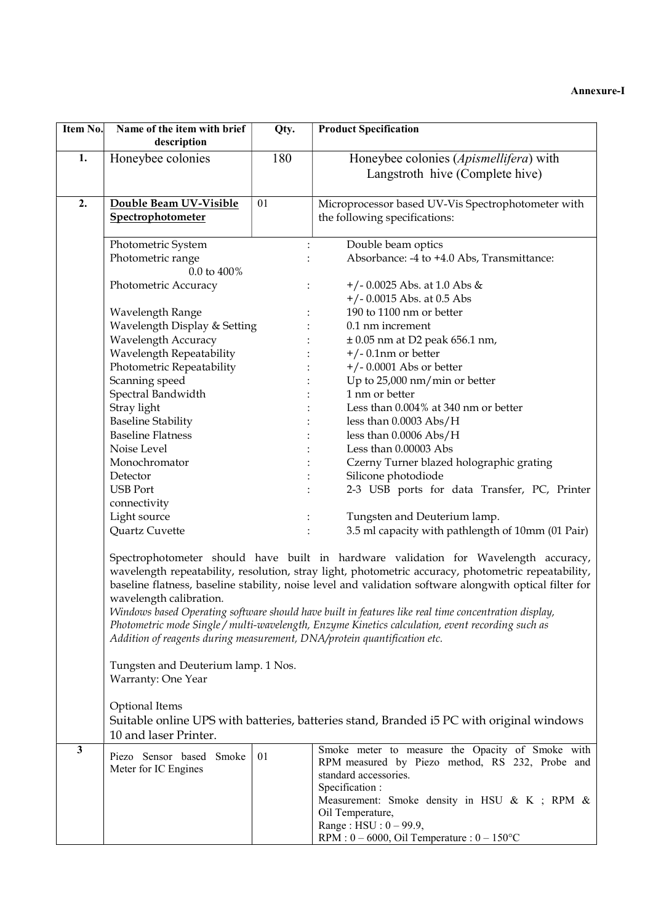| Item No.                                                                                                                                                                                                                                                                                                                                                                                                                                                                                                                                                                                                                 | Name of the item with brief<br>description                | Qty. | <b>Product Specification</b>                                                                                                                   |
|--------------------------------------------------------------------------------------------------------------------------------------------------------------------------------------------------------------------------------------------------------------------------------------------------------------------------------------------------------------------------------------------------------------------------------------------------------------------------------------------------------------------------------------------------------------------------------------------------------------------------|-----------------------------------------------------------|------|------------------------------------------------------------------------------------------------------------------------------------------------|
| 1.                                                                                                                                                                                                                                                                                                                                                                                                                                                                                                                                                                                                                       | Honeybee colonies                                         | 180  | Honeybee colonies (Apismellifera) with<br>Langstroth hive (Complete hive)                                                                      |
| 2.                                                                                                                                                                                                                                                                                                                                                                                                                                                                                                                                                                                                                       | Double Beam UV-Visible                                    | 01   | Microprocessor based UV-Vis Spectrophotometer with                                                                                             |
|                                                                                                                                                                                                                                                                                                                                                                                                                                                                                                                                                                                                                          | Spectrophotometer                                         |      | the following specifications:                                                                                                                  |
|                                                                                                                                                                                                                                                                                                                                                                                                                                                                                                                                                                                                                          | Photometric System                                        |      | Double beam optics                                                                                                                             |
|                                                                                                                                                                                                                                                                                                                                                                                                                                                                                                                                                                                                                          | Photometric range<br>0.0 to 400%                          |      | Absorbance: -4 to +4.0 Abs, Transmittance:                                                                                                     |
|                                                                                                                                                                                                                                                                                                                                                                                                                                                                                                                                                                                                                          | Photometric Accuracy                                      |      | $+/- 0.0025$ Abs. at 1.0 Abs &<br>$+/- 0.0015$ Abs. at 0.5 Abs                                                                                 |
|                                                                                                                                                                                                                                                                                                                                                                                                                                                                                                                                                                                                                          | Wavelength Range                                          |      | 190 to 1100 nm or better                                                                                                                       |
|                                                                                                                                                                                                                                                                                                                                                                                                                                                                                                                                                                                                                          | Wavelength Display & Setting                              |      | 0.1 nm increment                                                                                                                               |
|                                                                                                                                                                                                                                                                                                                                                                                                                                                                                                                                                                                                                          | <b>Wavelength Accuracy</b>                                |      | $\pm$ 0.05 nm at D2 peak 656.1 nm,                                                                                                             |
|                                                                                                                                                                                                                                                                                                                                                                                                                                                                                                                                                                                                                          | Wavelength Repeatability                                  |      | $+/- 0.1$ nm or better                                                                                                                         |
|                                                                                                                                                                                                                                                                                                                                                                                                                                                                                                                                                                                                                          | Photometric Repeatability                                 |      | $+/- 0.0001$ Abs or better                                                                                                                     |
|                                                                                                                                                                                                                                                                                                                                                                                                                                                                                                                                                                                                                          | Scanning speed                                            |      | Up to 25,000 nm/min or better                                                                                                                  |
|                                                                                                                                                                                                                                                                                                                                                                                                                                                                                                                                                                                                                          | Spectral Bandwidth                                        |      | 1 nm or better                                                                                                                                 |
|                                                                                                                                                                                                                                                                                                                                                                                                                                                                                                                                                                                                                          | Stray light                                               |      | Less than 0.004% at 340 nm or better                                                                                                           |
|                                                                                                                                                                                                                                                                                                                                                                                                                                                                                                                                                                                                                          | <b>Baseline Stability</b>                                 |      | less than $0.0003$ Abs/H                                                                                                                       |
|                                                                                                                                                                                                                                                                                                                                                                                                                                                                                                                                                                                                                          | <b>Baseline Flatness</b>                                  |      | less than 0.0006 Abs/H                                                                                                                         |
|                                                                                                                                                                                                                                                                                                                                                                                                                                                                                                                                                                                                                          | Noise Level                                               |      | Less than 0.00003 Abs                                                                                                                          |
|                                                                                                                                                                                                                                                                                                                                                                                                                                                                                                                                                                                                                          | Monochromator                                             |      | Czerny Turner blazed holographic grating                                                                                                       |
|                                                                                                                                                                                                                                                                                                                                                                                                                                                                                                                                                                                                                          | Detector                                                  |      | Silicone photodiode                                                                                                                            |
|                                                                                                                                                                                                                                                                                                                                                                                                                                                                                                                                                                                                                          | <b>USB</b> Port<br>connectivity                           |      | 2-3 USB ports for data Transfer, PC, Printer                                                                                                   |
|                                                                                                                                                                                                                                                                                                                                                                                                                                                                                                                                                                                                                          | Light source                                              |      | Tungsten and Deuterium lamp.                                                                                                                   |
|                                                                                                                                                                                                                                                                                                                                                                                                                                                                                                                                                                                                                          | Quartz Cuvette                                            |      | 3.5 ml capacity with pathlength of 10mm (01 Pair)                                                                                              |
| Spectrophotometer should have built in hardware validation for Wavelength accuracy,<br>wavelength repeatability, resolution, stray light, photometric accuracy, photometric repeatability,<br>baseline flatness, baseline stability, noise level and validation software alongwith optical filter for<br>wavelength calibration.<br>Windows based Operating software should have built in features like real time concentration display,<br>Photometric mode Single / multi-wavelength, Enzyme Kinetics calculation, event recording such as<br>Addition of reagents during measurement, DNA/protein quantification etc. |                                                           |      |                                                                                                                                                |
|                                                                                                                                                                                                                                                                                                                                                                                                                                                                                                                                                                                                                          | Tungsten and Deuterium lamp. 1 Nos.<br>Warranty: One Year |      |                                                                                                                                                |
|                                                                                                                                                                                                                                                                                                                                                                                                                                                                                                                                                                                                                          | Optional Items<br>10 and laser Printer.                   |      | Suitable online UPS with batteries, batteries stand, Branded i5 PC with original windows                                                       |
| $\mathbf{3}$                                                                                                                                                                                                                                                                                                                                                                                                                                                                                                                                                                                                             | Piezo Sensor based Smoke<br>Meter for IC Engines          | 01   | Smoke meter to measure the Opacity of Smoke with<br>RPM measured by Piezo method, RS 232, Probe and<br>standard accessories.<br>Specification: |
|                                                                                                                                                                                                                                                                                                                                                                                                                                                                                                                                                                                                                          |                                                           |      | Measurement: Smoke density in HSU & K; RPM &<br>Oil Temperature,                                                                               |
|                                                                                                                                                                                                                                                                                                                                                                                                                                                                                                                                                                                                                          |                                                           |      | Range: $HSU: 0 - 99.9$ ,<br>RPM : $0 - 6000$ , Oil Temperature : $0 - 150$ °C                                                                  |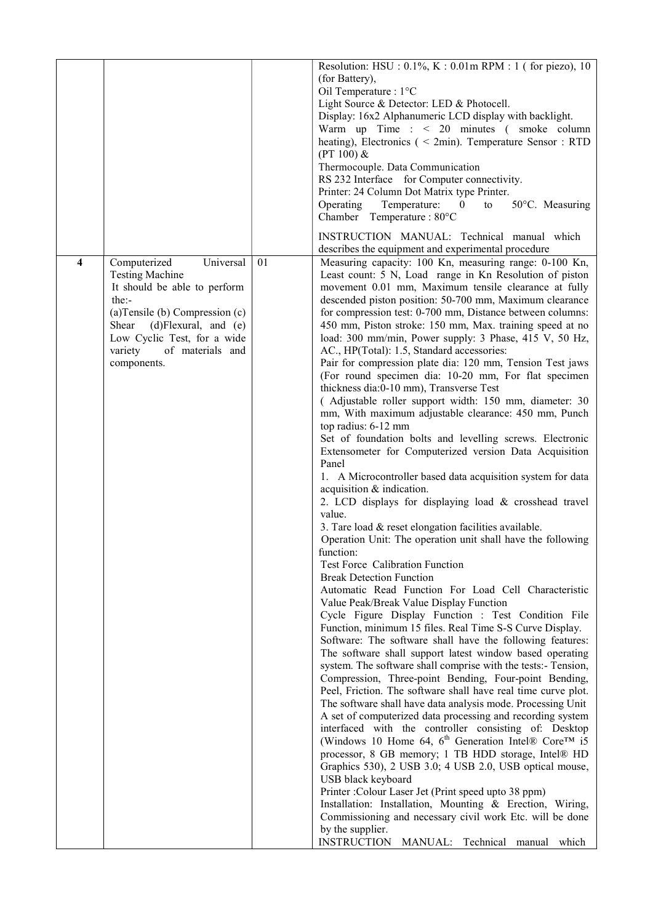|                         |                                   |    | Resolution: HSU : $0.1\%$ , K : $0.01$ m RPM : 1 (for piezo), 10                                                          |
|-------------------------|-----------------------------------|----|---------------------------------------------------------------------------------------------------------------------------|
|                         |                                   |    | (for Battery),                                                                                                            |
|                         |                                   |    | Oil Temperature : 1°C                                                                                                     |
|                         |                                   |    | Light Source & Detector: LED & Photocell.                                                                                 |
|                         |                                   |    | Display: 16x2 Alphanumeric LCD display with backlight.                                                                    |
|                         |                                   |    | Warm up Time : $\leq 20$ minutes (smoke column                                                                            |
|                         |                                   |    | heating), Electronics ( $\leq$ 2min). Temperature Sensor : RTD                                                            |
|                         |                                   |    | $(PT 100)$ &                                                                                                              |
|                         |                                   |    | Thermocouple. Data Communication                                                                                          |
|                         |                                   |    | RS 232 Interface for Computer connectivity.                                                                               |
|                         |                                   |    | Printer: 24 Column Dot Matrix type Printer.                                                                               |
|                         |                                   |    | Operating<br>Temperature:<br>50°C. Measuring<br>$\bf{0}$<br>to                                                            |
|                         |                                   |    | Chamber Temperature: 80°C                                                                                                 |
|                         |                                   |    |                                                                                                                           |
|                         |                                   |    | INSTRUCTION MANUAL: Technical manual which                                                                                |
|                         |                                   |    | describes the equipment and experimental procedure                                                                        |
| $\overline{\mathbf{4}}$ | Universal<br>Computerized         | 01 | Measuring capacity: 100 Kn, measuring range: 0-100 Kn,                                                                    |
|                         | <b>Testing Machine</b>            |    | Least count: 5 N, Load range in Kn Resolution of piston                                                                   |
|                         | It should be able to perform      |    | movement 0.01 mm, Maximum tensile clearance at fully                                                                      |
|                         | the:                              |    | descended piston position: 50-700 mm, Maximum clearance                                                                   |
|                         | (a) Tensile (b) Compression $(c)$ |    | for compression test: 0-700 mm, Distance between columns:                                                                 |
|                         | Shear (d)Flexural, and (e)        |    | 450 mm, Piston stroke: 150 mm, Max. training speed at no                                                                  |
|                         | Low Cyclic Test, for a wide       |    | load: 300 mm/min, Power supply: 3 Phase, 415 V, 50 Hz,                                                                    |
|                         | variety<br>of materials and       |    | AC., HP(Total): 1.5, Standard accessories:                                                                                |
|                         | components.                       |    | Pair for compression plate dia: 120 mm, Tension Test jaws                                                                 |
|                         |                                   |    | (For round specimen dia: 10-20 mm, For flat specimen                                                                      |
|                         |                                   |    | thickness dia:0-10 mm), Transverse Test                                                                                   |
|                         |                                   |    | (Adjustable roller support width: 150 mm, diameter: 30                                                                    |
|                         |                                   |    | mm, With maximum adjustable clearance: 450 mm, Punch                                                                      |
|                         |                                   |    | top radius: 6-12 mm                                                                                                       |
|                         |                                   |    | Set of foundation bolts and levelling screws. Electronic                                                                  |
|                         |                                   |    | Extensometer for Computerized version Data Acquisition                                                                    |
|                         |                                   |    | Panel                                                                                                                     |
|                         |                                   |    | 1. A Microcontroller based data acquisition system for data                                                               |
|                         |                                   |    | acquisition & indication.                                                                                                 |
|                         |                                   |    | 2. LCD displays for displaying load & crosshead travel                                                                    |
|                         |                                   |    | value.                                                                                                                    |
|                         |                                   |    | 3. Tare load & reset elongation facilities available.                                                                     |
|                         |                                   |    | Operation Unit: The operation unit shall have the following                                                               |
|                         |                                   |    | function:<br>Test Force Calibration Function                                                                              |
|                         |                                   |    | <b>Break Detection Function</b>                                                                                           |
|                         |                                   |    | Automatic Read Function For Load Cell Characteristic                                                                      |
|                         |                                   |    |                                                                                                                           |
|                         |                                   |    | Value Peak/Break Value Display Function                                                                                   |
|                         |                                   |    | Cycle Figure Display Function : Test Condition File                                                                       |
|                         |                                   |    | Function, minimum 15 files. Real Time S-S Curve Display.<br>Software: The software shall have the following features:     |
|                         |                                   |    |                                                                                                                           |
|                         |                                   |    | The software shall support latest window based operating<br>system. The software shall comprise with the tests:- Tension, |
|                         |                                   |    | Compression, Three-point Bending, Four-point Bending,                                                                     |
|                         |                                   |    | Peel, Friction. The software shall have real time curve plot.                                                             |
|                         |                                   |    | The software shall have data analysis mode. Processing Unit                                                               |
|                         |                                   |    | A set of computerized data processing and recording system                                                                |
|                         |                                   |    | interfaced with the controller consisting of: Desktop                                                                     |
|                         |                                   |    | (Windows 10 Home 64, $6^{\text{th}}$ Generation Intel® Core <sup>TM</sup> i5                                              |
|                         |                                   |    | processor, 8 GB memory; 1 TB HDD storage, Intel® HD                                                                       |
|                         |                                   |    | Graphics 530), 2 USB 3.0; 4 USB 2.0, USB optical mouse,                                                                   |
|                         |                                   |    | USB black keyboard                                                                                                        |
|                         |                                   |    | Printer: Colour Laser Jet (Print speed upto 38 ppm)                                                                       |
|                         |                                   |    | Installation: Installation, Mounting & Erection, Wiring,                                                                  |
|                         |                                   |    | Commissioning and necessary civil work Etc. will be done                                                                  |
|                         |                                   |    | by the supplier.                                                                                                          |
|                         |                                   |    | INSTRUCTION MANUAL: Technical manual which                                                                                |
|                         |                                   |    |                                                                                                                           |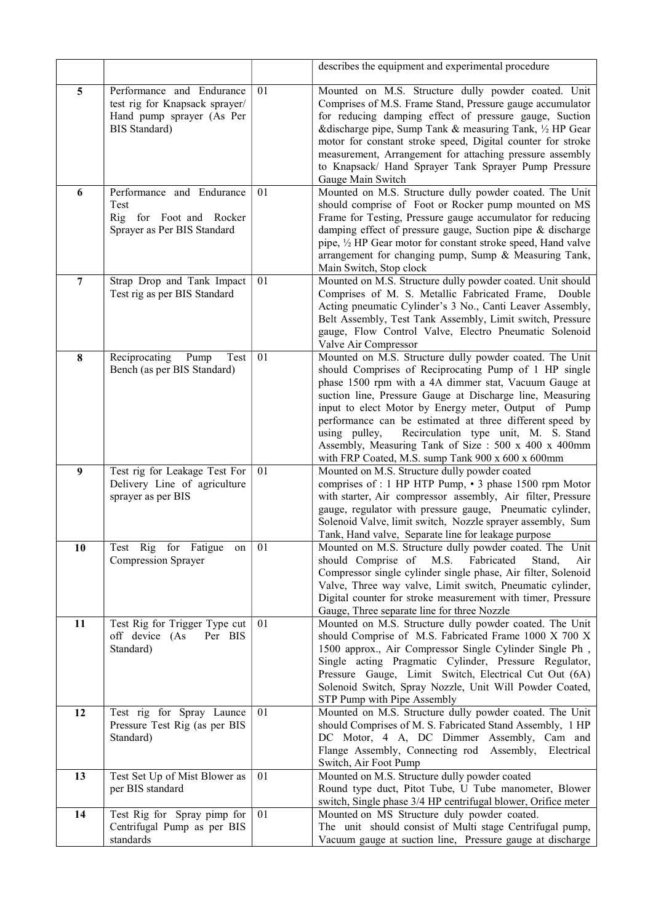|                |                                                                                                                  |    | describes the equipment and experimental procedure                                                                                                                                                                                                                                                                                                                                                                                                                                                                               |
|----------------|------------------------------------------------------------------------------------------------------------------|----|----------------------------------------------------------------------------------------------------------------------------------------------------------------------------------------------------------------------------------------------------------------------------------------------------------------------------------------------------------------------------------------------------------------------------------------------------------------------------------------------------------------------------------|
| 5              | Performance and Endurance<br>test rig for Knapsack sprayer/<br>Hand pump sprayer (As Per<br><b>BIS</b> Standard) | 01 | Mounted on M.S. Structure dully powder coated. Unit<br>Comprises of M.S. Frame Stand, Pressure gauge accumulator<br>for reducing damping effect of pressure gauge, Suction<br>&discharge pipe, Sump Tank & measuring Tank, 1/2 HP Gear<br>motor for constant stroke speed, Digital counter for stroke<br>measurement, Arrangement for attaching pressure assembly<br>to Knapsack/ Hand Sprayer Tank Sprayer Pump Pressure<br>Gauge Main Switch                                                                                   |
| 6              | Performance and Endurance<br>Test<br>Rig for Foot and Rocker<br>Sprayer as Per BIS Standard                      | 01 | Mounted on M.S. Structure dully powder coated. The Unit<br>should comprise of Foot or Rocker pump mounted on MS<br>Frame for Testing, Pressure gauge accumulator for reducing<br>damping effect of pressure gauge, Suction pipe & discharge<br>pipe, 1/2 HP Gear motor for constant stroke speed, Hand valve<br>arrangement for changing pump, Sump & Measuring Tank,<br>Main Switch, Stop clock                                                                                                                                 |
| $\overline{7}$ | Strap Drop and Tank Impact<br>Test rig as per BIS Standard                                                       | 01 | Mounted on M.S. Structure dully powder coated. Unit should<br>Comprises of M. S. Metallic Fabricated Frame, Double<br>Acting pneumatic Cylinder's 3 No., Canti Leaver Assembly,<br>Belt Assembly, Test Tank Assembly, Limit switch, Pressure<br>gauge, Flow Control Valve, Electro Pneumatic Solenoid<br>Valve Air Compressor                                                                                                                                                                                                    |
| 8              | Reciprocating<br>Pump<br>Test<br>Bench (as per BIS Standard)                                                     | 01 | Mounted on M.S. Structure dully powder coated. The Unit<br>should Comprises of Reciprocating Pump of 1 HP single<br>phase 1500 rpm with a 4A dimmer stat, Vacuum Gauge at<br>suction line, Pressure Gauge at Discharge line, Measuring<br>input to elect Motor by Energy meter, Output of Pump<br>performance can be estimated at three different speed by<br>Recirculation type unit, M. S. Stand<br>using pulley,<br>Assembly, Measuring Tank of Size : 500 x 400 x 400mm<br>with FRP Coated, M.S. sump Tank 900 x 600 x 600mm |
| 9              | Test rig for Leakage Test For<br>Delivery Line of agriculture<br>sprayer as per BIS                              | 01 | Mounted on M.S. Structure dully powder coated<br>comprises of : 1 HP HTP Pump, • 3 phase 1500 rpm Motor<br>with starter, Air compressor assembly, Air filter, Pressure<br>gauge, regulator with pressure gauge, Pneumatic cylinder,<br>Solenoid Valve, limit switch, Nozzle sprayer assembly, Sum<br>Tank, Hand valve, Separate line for leakage purpose                                                                                                                                                                         |
| 10             | Rig for Fatigue<br>Test<br>on<br>Compression Sprayer                                                             | 01 | Mounted on M.S. Structure dully powder coated. The Unit<br>should Comprise of M.S. Fabricated<br>Stand,<br>Air<br>Compressor single cylinder single phase, Air filter, Solenoid<br>Valve, Three way valve, Limit switch, Pneumatic cylinder,<br>Digital counter for stroke measurement with timer, Pressure<br>Gauge, Three separate line for three Nozzle                                                                                                                                                                       |
| 11             | Test Rig for Trigger Type cut<br>off device (As<br>Per BIS<br>Standard)                                          | 01 | Mounted on M.S. Structure dully powder coated. The Unit<br>should Comprise of M.S. Fabricated Frame 1000 X 700 X<br>1500 approx., Air Compressor Single Cylinder Single Ph,<br>Single acting Pragmatic Cylinder, Pressure Regulator,<br>Pressure Gauge, Limit Switch, Electrical Cut Out (6A)<br>Solenoid Switch, Spray Nozzle, Unit Will Powder Coated,<br>STP Pump with Pipe Assembly                                                                                                                                          |
| 12             | Test rig for Spray Launce<br>Pressure Test Rig (as per BIS<br>Standard)                                          | 01 | Mounted on M.S. Structure dully powder coated. The Unit<br>should Comprises of M. S. Fabricated Stand Assembly, 1 HP<br>DC Motor, 4 A, DC Dimmer Assembly, Cam and<br>Flange Assembly, Connecting rod<br>Assembly,<br>Electrical<br>Switch, Air Foot Pump                                                                                                                                                                                                                                                                        |
| 13             | Test Set Up of Mist Blower as<br>per BIS standard                                                                | 01 | Mounted on M.S. Structure dully powder coated<br>Round type duct, Pitot Tube, U Tube manometer, Blower<br>switch, Single phase 3/4 HP centrifugal blower, Orifice meter                                                                                                                                                                                                                                                                                                                                                          |
| 14             | Test Rig for Spray pimp for<br>Centrifugal Pump as per BIS<br>standards                                          | 01 | Mounted on MS Structure duly powder coated.<br>The unit should consist of Multi stage Centrifugal pump,<br>Vacuum gauge at suction line, Pressure gauge at discharge                                                                                                                                                                                                                                                                                                                                                             |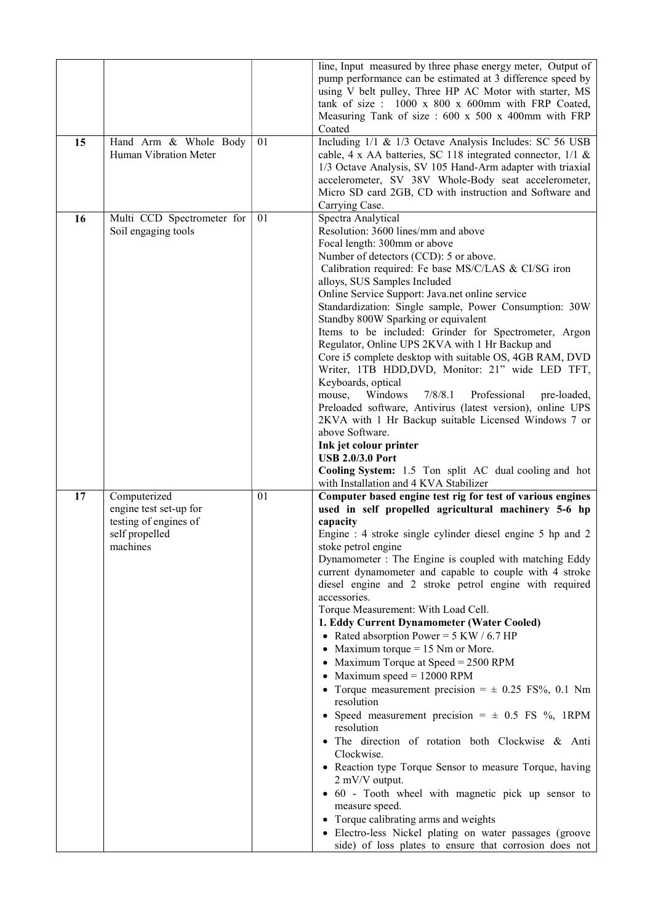| 15 | Hand Arm & Whole Body<br>Human Vibration Meter                                                | 01 | line, Input measured by three phase energy meter, Output of<br>pump performance can be estimated at 3 difference speed by<br>using V belt pulley, Three HP AC Motor with starter, MS<br>tank of size : 1000 x 800 x 600mm with FRP Coated,<br>Measuring Tank of size: 600 x 500 x 400mm with FRP<br>Coated<br>Including 1/1 & 1/3 Octave Analysis Includes: SC 56 USB                                                                                                                                                                                                                                                                                                                                                                                                                                                                                                                                                                                                                                                                                                                                                                                                                                          |
|----|-----------------------------------------------------------------------------------------------|----|----------------------------------------------------------------------------------------------------------------------------------------------------------------------------------------------------------------------------------------------------------------------------------------------------------------------------------------------------------------------------------------------------------------------------------------------------------------------------------------------------------------------------------------------------------------------------------------------------------------------------------------------------------------------------------------------------------------------------------------------------------------------------------------------------------------------------------------------------------------------------------------------------------------------------------------------------------------------------------------------------------------------------------------------------------------------------------------------------------------------------------------------------------------------------------------------------------------|
|    |                                                                                               |    | cable, 4 x AA batteries, SC 118 integrated connector, 1/1 &<br>1/3 Octave Analysis, SV 105 Hand-Arm adapter with triaxial<br>accelerometer, SV 38V Whole-Body seat accelerometer,<br>Micro SD card 2GB, CD with instruction and Software and<br>Carrying Case.                                                                                                                                                                                                                                                                                                                                                                                                                                                                                                                                                                                                                                                                                                                                                                                                                                                                                                                                                 |
| 16 | Multi CCD Spectrometer for<br>Soil engaging tools                                             | 01 | Spectra Analytical<br>Resolution: 3600 lines/mm and above<br>Focal length: 300mm or above<br>Number of detectors (CCD): 5 or above.<br>Calibration required: Fe base MS/C/LAS & CI/SG iron<br>alloys, SUS Samples Included<br>Online Service Support: Java.net online service<br>Standardization: Single sample, Power Consumption: 30W<br>Standby 800W Sparking or equivalent<br>Items to be included: Grinder for Spectrometer, Argon<br>Regulator, Online UPS 2KVA with 1 Hr Backup and<br>Core i5 complete desktop with suitable OS, 4GB RAM, DVD<br>Writer, 1TB HDD, DVD, Monitor: 21" wide LED TFT,<br>Keyboards, optical<br>Windows<br>7/8/8.1<br>Professional<br>mouse,<br>pre-loaded,<br>Preloaded software, Antivirus (latest version), online UPS<br>2KVA with 1 Hr Backup suitable Licensed Windows 7 or<br>above Software.<br>Ink jet colour printer<br><b>USB 2.0/3.0 Port</b><br>Cooling System: 1.5 Ton split AC dual cooling and hot<br>with Installation and 4 KVA Stabilizer                                                                                                                                                                                                                |
| 17 | Computerized<br>engine test set-up for<br>testing of engines of<br>self propelled<br>machines | 01 | Computer based engine test rig for test of various engines<br>used in self propelled agricultural machinery 5-6 hp<br>capacity<br>Engine : 4 stroke single cylinder diesel engine 5 hp and 2<br>stoke petrol engine<br>Dynamometer : The Engine is coupled with matching Eddy<br>current dynamometer and capable to couple with 4 stroke<br>diesel engine and 2 stroke petrol engine with required<br>accessories.<br>Torque Measurement: With Load Cell.<br>1. Eddy Current Dynamometer (Water Cooled)<br>• Rated absorption Power = $5$ KW / 6.7 HP<br>• Maximum torque $= 15$ Nm or More.<br>• Maximum Torque at Speed = $2500$ RPM<br>• Maximum speed = $12000$ RPM<br>• Torque measurement precision = $\pm$ 0.25 FS%, 0.1 Nm<br>resolution<br>• Speed measurement precision $=$ $\pm$ 0.5 FS %, 1RPM<br>resolution<br>· The direction of rotation both Clockwise & Anti<br>Clockwise.<br>• Reaction type Torque Sensor to measure Torque, having<br>2 mV/V output.<br>· 60 - Tooth wheel with magnetic pick up sensor to<br>measure speed.<br>• Torque calibrating arms and weights<br>· Electro-less Nickel plating on water passages (groove<br>side) of loss plates to ensure that corrosion does not |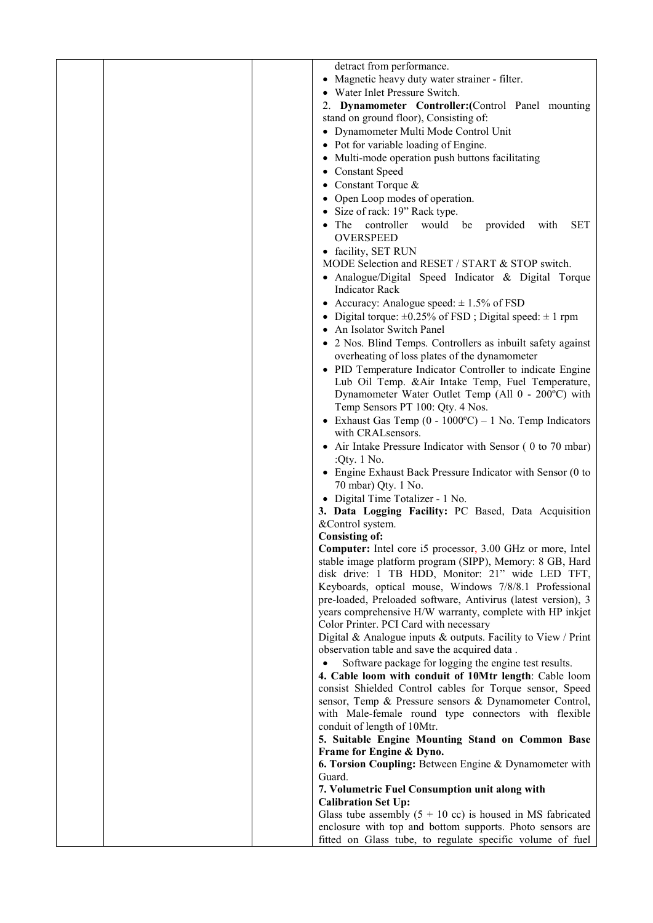|  | detract from performance.                                                                                               |
|--|-------------------------------------------------------------------------------------------------------------------------|
|  | • Magnetic heavy duty water strainer - filter.                                                                          |
|  | Water Inlet Pressure Switch.                                                                                            |
|  | 2. Dynamometer Controller: (Control Panel mounting                                                                      |
|  | stand on ground floor), Consisting of:                                                                                  |
|  | • Dynamometer Multi Mode Control Unit                                                                                   |
|  | • Pot for variable loading of Engine.                                                                                   |
|  | • Multi-mode operation push buttons facilitating                                                                        |
|  | <b>Constant Speed</b>                                                                                                   |
|  | • Constant Torque $&$                                                                                                   |
|  | Open Loop modes of operation.                                                                                           |
|  | Size of rack: 19" Rack type.                                                                                            |
|  | controller would be provided<br><b>SET</b><br>The<br>with<br><b>OVERSPEED</b>                                           |
|  | · facility, SET RUN                                                                                                     |
|  | MODE Selection and RESET / START & STOP switch.                                                                         |
|  | • Analogue/Digital Speed Indicator & Digital Torque<br><b>Indicator Rack</b>                                            |
|  | • Accuracy: Analogue speed: $\pm$ 1.5% of FSD                                                                           |
|  | Digital torque: $\pm 0.25\%$ of FSD; Digital speed: $\pm 1$ rpm                                                         |
|  | An Isolator Switch Panel                                                                                                |
|  | • 2 Nos. Blind Temps. Controllers as inbuilt safety against<br>overheating of loss plates of the dynamometer            |
|  | • PID Temperature Indicator Controller to indicate Engine                                                               |
|  | Lub Oil Temp. & Air Intake Temp, Fuel Temperature,                                                                      |
|  | Dynamometer Water Outlet Temp (All 0 - 200°C) with                                                                      |
|  | Temp Sensors PT 100: Qty. 4 Nos.                                                                                        |
|  | • Exhaust Gas Temp $(0 - 1000^{\circ}\text{C}) - 1$ No. Temp Indicators                                                 |
|  | with CRAL sensors.                                                                                                      |
|  | • Air Intake Pressure Indicator with Sensor (0 to 70 mbar)                                                              |
|  | :Qty. 1 No.                                                                                                             |
|  | • Engine Exhaust Back Pressure Indicator with Sensor (0 to<br>70 mbar) Qty. 1 No.                                       |
|  | • Digital Time Totalizer - 1 No.                                                                                        |
|  | 3. Data Logging Facility: PC Based, Data Acquisition                                                                    |
|  | &Control system.                                                                                                        |
|  | <b>Consisting of:</b>                                                                                                   |
|  | <b>Computer:</b> Intel core i5 processor, 3.00 GHz or more, Intel                                                       |
|  | stable image platform program (SIPP), Memory: 8 GB, Hard                                                                |
|  | disk drive: 1 TB HDD, Monitor: 21" wide LED TFT,                                                                        |
|  | Keyboards, optical mouse, Windows 7/8/8.1 Professional<br>pre-loaded, Preloaded software, Antivirus (latest version), 3 |
|  | years comprehensive H/W warranty, complete with HP inkjet                                                               |
|  | Color Printer. PCI Card with necessary                                                                                  |
|  | Digital & Analogue inputs $\&$ outputs. Facility to View / Print                                                        |
|  | observation table and save the acquired data.                                                                           |
|  | Software package for logging the engine test results.                                                                   |
|  | 4. Cable loom with conduit of 10Mtr length: Cable loom                                                                  |
|  | consist Shielded Control cables for Torque sensor, Speed<br>sensor, Temp & Pressure sensors & Dynamometer Control,      |
|  | with Male-female round type connectors with flexible                                                                    |
|  | conduit of length of 10Mtr.                                                                                             |
|  | 5. Suitable Engine Mounting Stand on Common Base                                                                        |
|  | Frame for Engine & Dyno.                                                                                                |
|  | 6. Torsion Coupling: Between Engine & Dynamometer with                                                                  |
|  | Guard.                                                                                                                  |
|  | 7. Volumetric Fuel Consumption unit along with                                                                          |
|  | <b>Calibration Set Up:</b><br>Glass tube assembly $(5 + 10 \text{ cc})$ is housed in MS fabricated                      |
|  | enclosure with top and bottom supports. Photo sensors are                                                               |
|  | fitted on Glass tube, to regulate specific volume of fuel                                                               |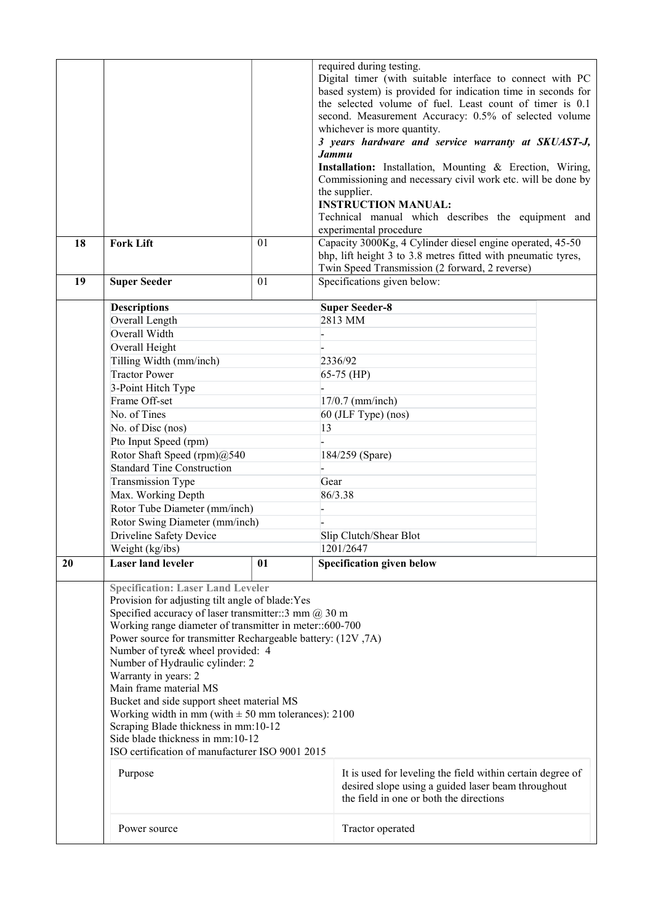| 18 | <b>Fork Lift</b>                                                                                                                                                                                                                                                                                                                                                                                                                                                                                                                                                                                                                                                                                                                                                                                                            | 01 | required during testing.<br>Digital timer (with suitable interface to connect with PC<br>based system) is provided for indication time in seconds for<br>the selected volume of fuel. Least count of timer is 0.1<br>second. Measurement Accuracy: 0.5% of selected volume<br>whichever is more quantity.<br>3 years hardware and service warranty at SKUAST-J,<br><b><i>Jammu</i></b><br>Installation: Installation, Mounting & Erection, Wiring,<br>Commissioning and necessary civil work etc. will be done by<br>the supplier.<br><b>INSTRUCTION MANUAL:</b><br>Technical manual which describes the equipment and<br>experimental procedure<br>Capacity 3000Kg, 4 Cylinder diesel engine operated, 45-50<br>bhp, lift height 3 to 3.8 metres fitted with pneumatic tyres,<br>Twin Speed Transmission (2 forward, 2 reverse) |  |  |
|----|-----------------------------------------------------------------------------------------------------------------------------------------------------------------------------------------------------------------------------------------------------------------------------------------------------------------------------------------------------------------------------------------------------------------------------------------------------------------------------------------------------------------------------------------------------------------------------------------------------------------------------------------------------------------------------------------------------------------------------------------------------------------------------------------------------------------------------|----|----------------------------------------------------------------------------------------------------------------------------------------------------------------------------------------------------------------------------------------------------------------------------------------------------------------------------------------------------------------------------------------------------------------------------------------------------------------------------------------------------------------------------------------------------------------------------------------------------------------------------------------------------------------------------------------------------------------------------------------------------------------------------------------------------------------------------------|--|--|
| 19 | <b>Super Seeder</b>                                                                                                                                                                                                                                                                                                                                                                                                                                                                                                                                                                                                                                                                                                                                                                                                         | 01 | Specifications given below:                                                                                                                                                                                                                                                                                                                                                                                                                                                                                                                                                                                                                                                                                                                                                                                                      |  |  |
|    | <b>Descriptions</b>                                                                                                                                                                                                                                                                                                                                                                                                                                                                                                                                                                                                                                                                                                                                                                                                         |    | <b>Super Seeder-8</b>                                                                                                                                                                                                                                                                                                                                                                                                                                                                                                                                                                                                                                                                                                                                                                                                            |  |  |
|    | Overall Length                                                                                                                                                                                                                                                                                                                                                                                                                                                                                                                                                                                                                                                                                                                                                                                                              |    | 2813 MM                                                                                                                                                                                                                                                                                                                                                                                                                                                                                                                                                                                                                                                                                                                                                                                                                          |  |  |
|    | Overall Width                                                                                                                                                                                                                                                                                                                                                                                                                                                                                                                                                                                                                                                                                                                                                                                                               |    |                                                                                                                                                                                                                                                                                                                                                                                                                                                                                                                                                                                                                                                                                                                                                                                                                                  |  |  |
|    | Overall Height                                                                                                                                                                                                                                                                                                                                                                                                                                                                                                                                                                                                                                                                                                                                                                                                              |    |                                                                                                                                                                                                                                                                                                                                                                                                                                                                                                                                                                                                                                                                                                                                                                                                                                  |  |  |
|    | Tilling Width (mm/inch)                                                                                                                                                                                                                                                                                                                                                                                                                                                                                                                                                                                                                                                                                                                                                                                                     |    | 2336/92                                                                                                                                                                                                                                                                                                                                                                                                                                                                                                                                                                                                                                                                                                                                                                                                                          |  |  |
|    | <b>Tractor Power</b>                                                                                                                                                                                                                                                                                                                                                                                                                                                                                                                                                                                                                                                                                                                                                                                                        |    | $65-75$ (HP)                                                                                                                                                                                                                                                                                                                                                                                                                                                                                                                                                                                                                                                                                                                                                                                                                     |  |  |
|    | 3-Point Hitch Type                                                                                                                                                                                                                                                                                                                                                                                                                                                                                                                                                                                                                                                                                                                                                                                                          |    |                                                                                                                                                                                                                                                                                                                                                                                                                                                                                                                                                                                                                                                                                                                                                                                                                                  |  |  |
|    | Frame Off-set                                                                                                                                                                                                                                                                                                                                                                                                                                                                                                                                                                                                                                                                                                                                                                                                               |    | $17/0.7$ (mm/inch)                                                                                                                                                                                                                                                                                                                                                                                                                                                                                                                                                                                                                                                                                                                                                                                                               |  |  |
|    | No. of Tines                                                                                                                                                                                                                                                                                                                                                                                                                                                                                                                                                                                                                                                                                                                                                                                                                |    | 60 (JLF Type) (nos)                                                                                                                                                                                                                                                                                                                                                                                                                                                                                                                                                                                                                                                                                                                                                                                                              |  |  |
|    | No. of Disc (nos)                                                                                                                                                                                                                                                                                                                                                                                                                                                                                                                                                                                                                                                                                                                                                                                                           |    | 13                                                                                                                                                                                                                                                                                                                                                                                                                                                                                                                                                                                                                                                                                                                                                                                                                               |  |  |
|    | Pto Input Speed (rpm)                                                                                                                                                                                                                                                                                                                                                                                                                                                                                                                                                                                                                                                                                                                                                                                                       |    |                                                                                                                                                                                                                                                                                                                                                                                                                                                                                                                                                                                                                                                                                                                                                                                                                                  |  |  |
|    | Rotor Shaft Speed (rpm)@540                                                                                                                                                                                                                                                                                                                                                                                                                                                                                                                                                                                                                                                                                                                                                                                                 |    | 184/259 (Spare)                                                                                                                                                                                                                                                                                                                                                                                                                                                                                                                                                                                                                                                                                                                                                                                                                  |  |  |
|    | <b>Standard Tine Construction</b>                                                                                                                                                                                                                                                                                                                                                                                                                                                                                                                                                                                                                                                                                                                                                                                           |    |                                                                                                                                                                                                                                                                                                                                                                                                                                                                                                                                                                                                                                                                                                                                                                                                                                  |  |  |
|    | <b>Transmission Type</b>                                                                                                                                                                                                                                                                                                                                                                                                                                                                                                                                                                                                                                                                                                                                                                                                    |    | Gear<br>86/3.38                                                                                                                                                                                                                                                                                                                                                                                                                                                                                                                                                                                                                                                                                                                                                                                                                  |  |  |
|    | Max. Working Depth<br>Rotor Tube Diameter (mm/inch)                                                                                                                                                                                                                                                                                                                                                                                                                                                                                                                                                                                                                                                                                                                                                                         |    |                                                                                                                                                                                                                                                                                                                                                                                                                                                                                                                                                                                                                                                                                                                                                                                                                                  |  |  |
|    | Rotor Swing Diameter (mm/inch)                                                                                                                                                                                                                                                                                                                                                                                                                                                                                                                                                                                                                                                                                                                                                                                              |    |                                                                                                                                                                                                                                                                                                                                                                                                                                                                                                                                                                                                                                                                                                                                                                                                                                  |  |  |
|    | Driveline Safety Device                                                                                                                                                                                                                                                                                                                                                                                                                                                                                                                                                                                                                                                                                                                                                                                                     |    | Slip Clutch/Shear Blot<br>1201/2647                                                                                                                                                                                                                                                                                                                                                                                                                                                                                                                                                                                                                                                                                                                                                                                              |  |  |
|    | Weight (kg/ibs)                                                                                                                                                                                                                                                                                                                                                                                                                                                                                                                                                                                                                                                                                                                                                                                                             |    |                                                                                                                                                                                                                                                                                                                                                                                                                                                                                                                                                                                                                                                                                                                                                                                                                                  |  |  |
| 20 | <b>Laser land leveler</b>                                                                                                                                                                                                                                                                                                                                                                                                                                                                                                                                                                                                                                                                                                                                                                                                   | 01 | <b>Specification given below</b>                                                                                                                                                                                                                                                                                                                                                                                                                                                                                                                                                                                                                                                                                                                                                                                                 |  |  |
|    |                                                                                                                                                                                                                                                                                                                                                                                                                                                                                                                                                                                                                                                                                                                                                                                                                             |    |                                                                                                                                                                                                                                                                                                                                                                                                                                                                                                                                                                                                                                                                                                                                                                                                                                  |  |  |
|    | <b>Specification: Laser Land Leveler</b><br>Provision for adjusting tilt angle of blade: Yes<br>Specified accuracy of laser transmitter:: 3 mm $@30$ m<br>Working range diameter of transmitter in meter::600-700<br>Power source for transmitter Rechargeable battery: (12V,7A)<br>Number of tyre& wheel provided: 4<br>Number of Hydraulic cylinder: 2<br>Warranty in years: 2<br>Main frame material MS<br>Bucket and side support sheet material MS<br>Working width in mm (with $\pm 50$ mm tolerances): 2100<br>Scraping Blade thickness in mm:10-12<br>Side blade thickness in mm:10-12<br>ISO certification of manufacturer ISO 9001 2015<br>It is used for leveling the field within certain degree of<br>Purpose<br>desired slope using a guided laser beam throughout<br>the field in one or both the directions |    |                                                                                                                                                                                                                                                                                                                                                                                                                                                                                                                                                                                                                                                                                                                                                                                                                                  |  |  |
|    | Power source                                                                                                                                                                                                                                                                                                                                                                                                                                                                                                                                                                                                                                                                                                                                                                                                                |    | Tractor operated                                                                                                                                                                                                                                                                                                                                                                                                                                                                                                                                                                                                                                                                                                                                                                                                                 |  |  |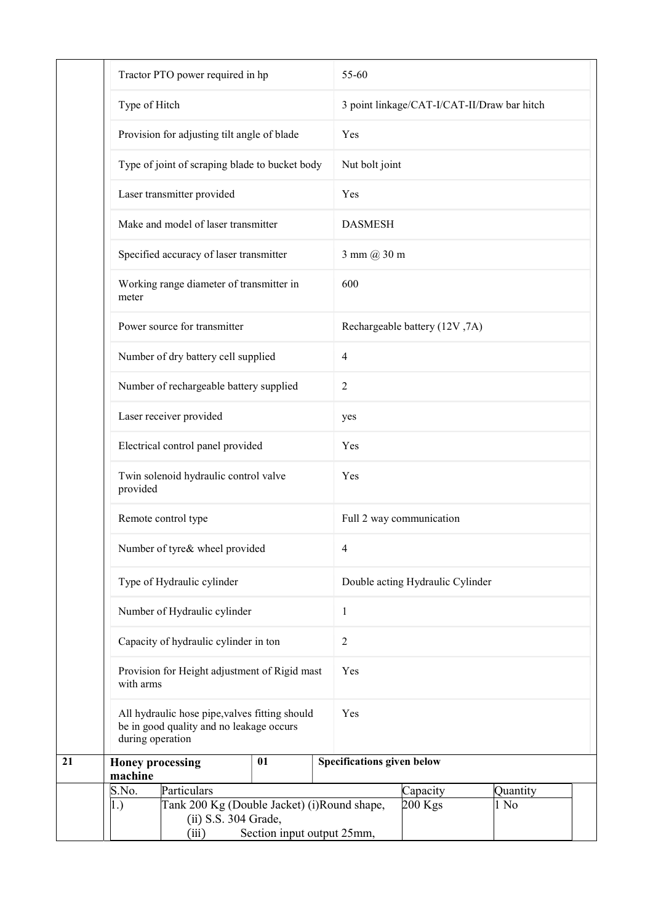|    | Tractor PTO power required in hp                                                                               |                            | 55-60                                       |  |  |
|----|----------------------------------------------------------------------------------------------------------------|----------------------------|---------------------------------------------|--|--|
|    | Type of Hitch                                                                                                  |                            | 3 point linkage/CAT-I/CAT-II/Draw bar hitch |  |  |
|    | Provision for adjusting tilt angle of blade                                                                    |                            | Yes                                         |  |  |
|    | Type of joint of scraping blade to bucket body                                                                 |                            | Nut bolt joint                              |  |  |
|    | Laser transmitter provided                                                                                     |                            | Yes                                         |  |  |
|    | Make and model of laser transmitter                                                                            |                            | <b>DASMESH</b>                              |  |  |
|    | Specified accuracy of laser transmitter                                                                        |                            | 3 mm @ 30 m                                 |  |  |
|    | Working range diameter of transmitter in<br>meter                                                              |                            | 600                                         |  |  |
|    | Power source for transmitter                                                                                   |                            | Rechargeable battery (12V,7A)               |  |  |
|    | Number of dry battery cell supplied                                                                            |                            | $\overline{4}$                              |  |  |
|    | Number of rechargeable battery supplied                                                                        |                            | $\overline{2}$                              |  |  |
|    | Laser receiver provided                                                                                        |                            | yes                                         |  |  |
|    | Electrical control panel provided                                                                              |                            | Yes                                         |  |  |
|    | Twin solenoid hydraulic control valve<br>provided                                                              |                            | Yes                                         |  |  |
|    | Remote control type                                                                                            |                            | Full 2 way communication                    |  |  |
|    | Number of tyre& wheel provided                                                                                 |                            | 4                                           |  |  |
|    | Type of Hydraulic cylinder                                                                                     |                            | Double acting Hydraulic Cylinder            |  |  |
|    | Number of Hydraulic cylinder                                                                                   |                            | $\mathbf{1}$<br>$\sqrt{2}$<br>Yes           |  |  |
|    | Capacity of hydraulic cylinder in ton                                                                          |                            |                                             |  |  |
|    | Provision for Height adjustment of Rigid mast<br>with arms                                                     |                            |                                             |  |  |
|    | All hydraulic hose pipe, valves fitting should<br>be in good quality and no leakage occurs<br>during operation |                            | Yes                                         |  |  |
| 21 | <b>Honey processing</b><br>machine                                                                             | 01                         | <b>Specifications given below</b>           |  |  |
|    | S.No.<br>Particulars                                                                                           |                            | Capacity<br>Quantity                        |  |  |
|    | Tank 200 Kg (Double Jacket) (i)Round shape,<br>1.)<br>(ii) S.S. 304 Grade,<br>(iii)                            | Section input output 25mm, | 200 Kgs<br>1 No                             |  |  |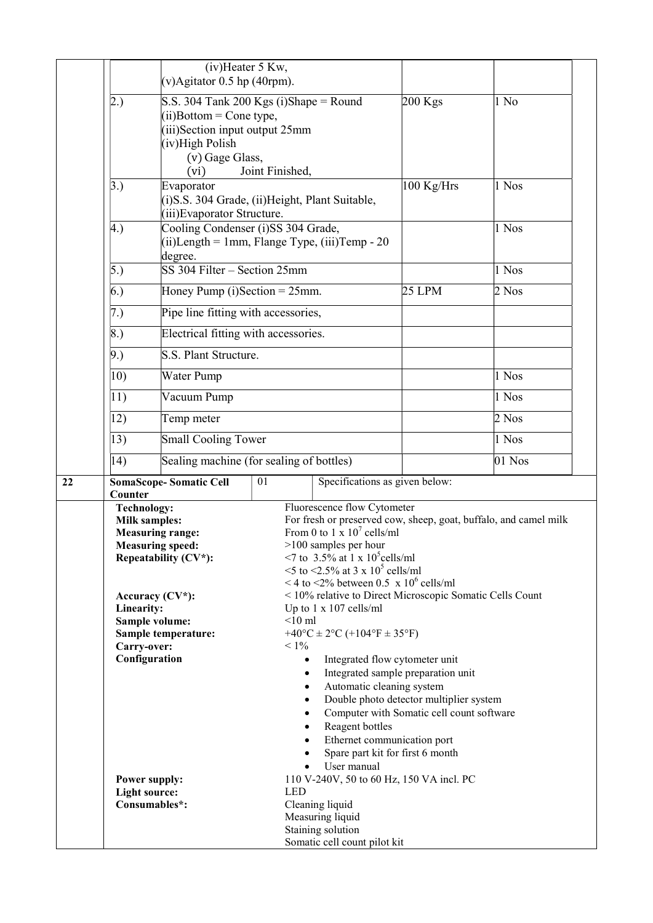|    |                                              | (iv)Heater 5 Kw,<br>$(v)$ Agitator 0.5 hp (40rpm).                              |                 |                                                                                            |                                                                                      |                                                                  |  |
|----|----------------------------------------------|---------------------------------------------------------------------------------|-----------------|--------------------------------------------------------------------------------------------|--------------------------------------------------------------------------------------|------------------------------------------------------------------|--|
|    |                                              |                                                                                 |                 |                                                                                            |                                                                                      |                                                                  |  |
|    | (2.)                                         | S.S. 304 Tank 200 Kgs (i)Shape = Round<br>$(ii)$ Bottom = Cone type,            |                 |                                                                                            | $200$ Kgs                                                                            | 1 No                                                             |  |
|    |                                              | (iii)Section input output 25mm                                                  |                 |                                                                                            |                                                                                      |                                                                  |  |
|    |                                              | (iv)High Polish                                                                 |                 |                                                                                            |                                                                                      |                                                                  |  |
|    |                                              | (v) Gage Glass,<br>(vi)                                                         | Joint Finished, |                                                                                            |                                                                                      |                                                                  |  |
|    | $\left 3.\right)$                            | Evaporator                                                                      |                 |                                                                                            | 100 Kg/Hrs                                                                           | 1 Nos                                                            |  |
|    |                                              | (i) S.S. 304 Grade, (ii) Height, Plant Suitable,<br>(iii) Evaporator Structure. |                 |                                                                                            |                                                                                      |                                                                  |  |
|    | 4.                                           | Cooling Condenser (i)SS 304 Grade,                                              |                 |                                                                                            |                                                                                      | 1 Nos                                                            |  |
|    |                                              | $(ii)$ Length = 1mm, Flange Type, $(iii)$ Temp - 20<br>degree.                  |                 |                                                                                            |                                                                                      |                                                                  |  |
|    | $\vert 5.$                                   | SS 304 Filter - Section 25mm                                                    |                 |                                                                                            |                                                                                      | 1 Nos                                                            |  |
|    | (6.)                                         | Honey Pump (i)Section = $25$ mm.                                                |                 |                                                                                            | <b>25 LPM</b>                                                                        | 2 Nos                                                            |  |
|    | (7.)                                         | Pipe line fitting with accessories,                                             |                 |                                                                                            |                                                                                      |                                                                  |  |
|    | $\vert 8.$                                   | Electrical fitting with accessories.                                            |                 |                                                                                            |                                                                                      |                                                                  |  |
|    | 9.)                                          | S.S. Plant Structure.                                                           |                 |                                                                                            |                                                                                      |                                                                  |  |
|    | $ 10\rangle$                                 | Water Pump                                                                      |                 |                                                                                            |                                                                                      | 1 Nos                                                            |  |
|    | $ 11\rangle$                                 | Vacuum Pump                                                                     |                 |                                                                                            |                                                                                      | 1 Nos                                                            |  |
|    | 12)                                          | Temp meter                                                                      |                 |                                                                                            |                                                                                      | $2$ Nos                                                          |  |
|    | $ 13\rangle$                                 | <b>Small Cooling Tower</b>                                                      |                 |                                                                                            |                                                                                      | 1 Nos                                                            |  |
|    | 14)                                          | Sealing machine (for sealing of bottles)                                        |                 |                                                                                            |                                                                                      | 01 Nos                                                           |  |
| 22 | <b>SomaScope-Somatic Cell</b><br>Counter     |                                                                                 | 01              | Specifications as given below:                                                             |                                                                                      |                                                                  |  |
|    | <b>Technology:</b>                           |                                                                                 |                 | Fluorescence flow Cytometer                                                                |                                                                                      |                                                                  |  |
|    | <b>Milk samples:</b>                         | <b>Measuring range:</b>                                                         |                 | From 0 to 1 x $10^7$ cells/ml                                                              |                                                                                      | For fresh or preserved cow, sheep, goat, buffalo, and camel milk |  |
|    |                                              | <b>Measuring speed:</b>                                                         |                 | $>100$ samples per hour                                                                    |                                                                                      |                                                                  |  |
|    |                                              | Repeatability (CV*):                                                            |                 | <7 to 3.5% at 1 x $10^5$ cells/ml                                                          |                                                                                      |                                                                  |  |
|    |                                              |                                                                                 |                 | $5$ to $52.5\%$ at 3 x 10 <sup>5</sup> cells/ml<br><4 to <2% between 0.5 x $10^6$ cells/ml |                                                                                      |                                                                  |  |
|    |                                              | Accuracy $(CV^*)$ :                                                             |                 |                                                                                            | < 10% relative to Direct Microscopic Somatic Cells Count                             |                                                                  |  |
|    | Linearity:                                   |                                                                                 |                 | Up to $1 \times 107$ cells/ml                                                              |                                                                                      |                                                                  |  |
|    | Sample volume:                               |                                                                                 | $<$ 10 ml       |                                                                                            |                                                                                      |                                                                  |  |
|    | Carry-over:                                  | Sample temperature:                                                             | $< 1\%$         | +40°C ± 2°C (+104°F ± 35°F)                                                                |                                                                                      |                                                                  |  |
|    | Configuration                                |                                                                                 | $\bullet$       | Integrated flow cytometer unit                                                             |                                                                                      |                                                                  |  |
|    |                                              |                                                                                 |                 |                                                                                            | Integrated sample preparation unit                                                   |                                                                  |  |
|    |                                              |                                                                                 |                 | Automatic cleaning system                                                                  |                                                                                      |                                                                  |  |
|    |                                              |                                                                                 |                 |                                                                                            | Double photo detector multiplier system<br>Computer with Somatic cell count software |                                                                  |  |
|    | $\bullet$                                    |                                                                                 |                 | Reagent bottles                                                                            |                                                                                      |                                                                  |  |
|    |                                              |                                                                                 | $\bullet$       | Ethernet communication port                                                                |                                                                                      |                                                                  |  |
|    |                                              |                                                                                 |                 |                                                                                            | Spare part kit for first 6 month                                                     |                                                                  |  |
|    |                                              |                                                                                 |                 | User manual                                                                                |                                                                                      |                                                                  |  |
|    | <b>Power supply:</b><br><b>Light source:</b> |                                                                                 | <b>LED</b>      |                                                                                            | 110 V-240V, 50 to 60 Hz, 150 VA incl. PC                                             |                                                                  |  |
|    | Consumables*:                                |                                                                                 |                 | Cleaning liquid                                                                            |                                                                                      |                                                                  |  |
|    |                                              |                                                                                 |                 | Measuring liquid                                                                           |                                                                                      |                                                                  |  |
|    |                                              |                                                                                 |                 | Staining solution<br>Somatic cell count pilot kit                                          |                                                                                      |                                                                  |  |
|    |                                              |                                                                                 |                 |                                                                                            |                                                                                      |                                                                  |  |